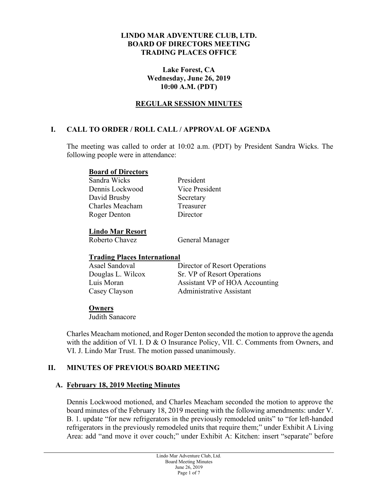#### **LINDO MAR ADVENTURE CLUB, LTD. BOARD OF DIRECTORS MEETING TRADING PLACES OFFICE**

### **Lake Forest, CA Wednesday, June 26, 2019 10:00 A.M. (PDT)**

### **REGULAR SESSION MINUTES**

## **I. CALL TO ORDER / ROLL CALL / APPROVAL OF AGENDA**

The meeting was called to order at 10:02 a.m. (PDT) by President Sandra Wicks. The following people were in attendance:

#### **Board of Directors**

Sandra Wicks President Dennis Lockwood Vice President David Brusby Secretary Charles Meacham Treasurer Roger Denton Director

#### **Lindo Mar Resort**

Roberto Chavez **General Manager** 

### **Trading Places International**

| Asael Sandoval    | Director of Resort Operations   |
|-------------------|---------------------------------|
| Douglas L. Wilcox | Sr. VP of Resort Operations     |
| Luis Moran        | Assistant VP of HOA Accounting  |
| Casey Clayson     | <b>Administrative Assistant</b> |

### **Owners**

Judith Sanacore

Charles Meacham motioned, and Roger Denton seconded the motion to approve the agenda with the addition of VI. I. D & O Insurance Policy, VII. C. Comments from Owners, and VI. J. Lindo Mar Trust. The motion passed unanimously.

### **II. MINUTES OF PREVIOUS BOARD MEETING**

### **A. February 18, 2019 Meeting Minutes**

Dennis Lockwood motioned, and Charles Meacham seconded the motion to approve the board minutes of the February 18, 2019 meeting with the following amendments: under V. B. 1. update "for new refrigerators in the previously remodeled units" to "for left-handed refrigerators in the previously remodeled units that require them;" under Exhibit A Living Area: add "and move it over couch;" under Exhibit A: Kitchen: insert "separate" before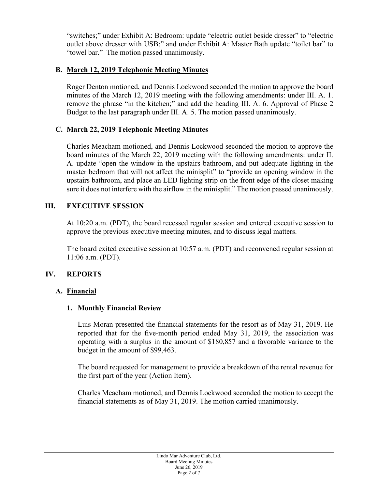"switches;" under Exhibit A: Bedroom: update "electric outlet beside dresser" to "electric outlet above dresser with USB;" and under Exhibit A: Master Bath update "toilet bar" to "towel bar." The motion passed unanimously.

## **B. March 12, 2019 Telephonic Meeting Minutes**

Roger Denton motioned, and Dennis Lockwood seconded the motion to approve the board minutes of the March 12, 2019 meeting with the following amendments: under III. A. 1. remove the phrase "in the kitchen;" and add the heading III. A. 6. Approval of Phase 2 Budget to the last paragraph under III. A. 5. The motion passed unanimously.

# **C. March 22, 2019 Telephonic Meeting Minutes**

Charles Meacham motioned, and Dennis Lockwood seconded the motion to approve the board minutes of the March 22, 2019 meeting with the following amendments: under II. A. update "open the window in the upstairs bathroom, and put adequate lighting in the master bedroom that will not affect the minisplit" to "provide an opening window in the upstairs bathroom, and place an LED lighting strip on the front edge of the closet making sure it does not interfere with the airflow in the minisplit." The motion passed unanimously.

# **III. EXECUTIVE SESSION**

At 10:20 a.m. (PDT), the board recessed regular session and entered executive session to approve the previous executive meeting minutes, and to discuss legal matters.

The board exited executive session at 10:57 a.m. (PDT) and reconvened regular session at 11:06 a.m. (PDT).

# **IV. REPORTS**

## **A. Financial**

## **1. Monthly Financial Review**

Luis Moran presented the financial statements for the resort as of May 31, 2019. He reported that for the five-month period ended May 31, 2019, the association was operating with a surplus in the amount of \$180,857 and a favorable variance to the budget in the amount of \$99,463.

The board requested for management to provide a breakdown of the rental revenue for the first part of the year (Action Item).

Charles Meacham motioned, and Dennis Lockwood seconded the motion to accept the financial statements as of May 31, 2019. The motion carried unanimously.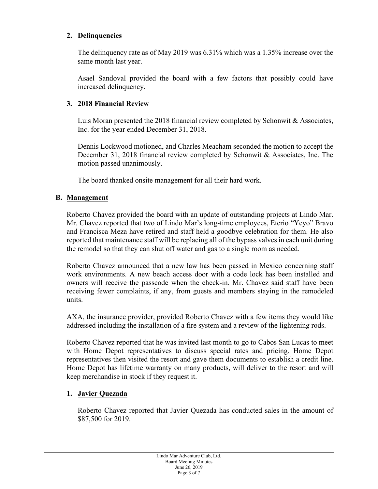### **2. Delinquencies**

The delinquency rate as of May 2019 was 6.31% which was a 1.35% increase over the same month last year.

Asael Sandoval provided the board with a few factors that possibly could have increased delinquency.

### **3. 2018 Financial Review**

Luis Moran presented the 2018 financial review completed by Schonwit & Associates, Inc. for the year ended December 31, 2018.

Dennis Lockwood motioned, and Charles Meacham seconded the motion to accept the December 31, 2018 financial review completed by Schonwit & Associates, Inc. The motion passed unanimously.

The board thanked onsite management for all their hard work.

### **B. Management**

Roberto Chavez provided the board with an update of outstanding projects at Lindo Mar. Mr. Chavez reported that two of Lindo Mar's long-time employees, Eterio "Yeyo" Bravo and Francisca Meza have retired and staff held a goodbye celebration for them. He also reported that maintenance staff will be replacing all of the bypass valves in each unit during the remodel so that they can shut off water and gas to a single room as needed.

Roberto Chavez announced that a new law has been passed in Mexico concerning staff work environments. A new beach access door with a code lock has been installed and owners will receive the passcode when the check-in. Mr. Chavez said staff have been receiving fewer complaints, if any, from guests and members staying in the remodeled units.

AXA, the insurance provider, provided Roberto Chavez with a few items they would like addressed including the installation of a fire system and a review of the lightening rods.

Roberto Chavez reported that he was invited last month to go to Cabos San Lucas to meet with Home Depot representatives to discuss special rates and pricing. Home Depot representatives then visited the resort and gave them documents to establish a credit line. Home Depot has lifetime warranty on many products, will deliver to the resort and will keep merchandise in stock if they request it.

## **1. Javier Quezada**

Roberto Chavez reported that Javier Quezada has conducted sales in the amount of \$87,500 for 2019.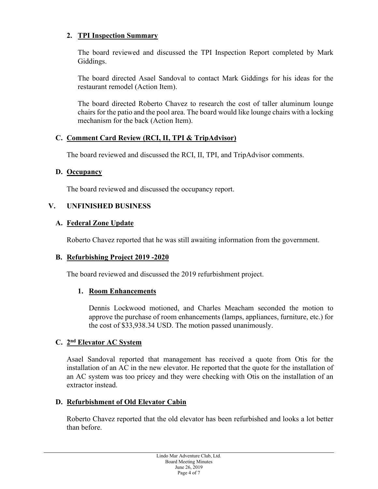## **2. TPI Inspection Summary**

The board reviewed and discussed the TPI Inspection Report completed by Mark Giddings.

The board directed Asael Sandoval to contact Mark Giddings for his ideas for the restaurant remodel (Action Item).

The board directed Roberto Chavez to research the cost of taller aluminum lounge chairs for the patio and the pool area. The board would like lounge chairs with a locking mechanism for the back (Action Item).

### **C. Comment Card Review (RCI, II, TPI & TripAdvisor)**

The board reviewed and discussed the RCI, II, TPI, and TripAdvisor comments.

### **D. Occupancy**

The board reviewed and discussed the occupancy report.

## **V. UNFINISHED BUSINESS**

## **A. Federal Zone Update**

Roberto Chavez reported that he was still awaiting information from the government.

### **B. Refurbishing Project 2019 -2020**

The board reviewed and discussed the 2019 refurbishment project.

### **1. Room Enhancements**

Dennis Lockwood motioned, and Charles Meacham seconded the motion to approve the purchase of room enhancements (lamps, appliances, furniture, etc.) for the cost of \$33,938.34 USD. The motion passed unanimously.

### **C. 2nd Elevator AC System**

Asael Sandoval reported that management has received a quote from Otis for the installation of an AC in the new elevator. He reported that the quote for the installation of an AC system was too pricey and they were checking with Otis on the installation of an extractor instead.

### **D. Refurbishment of Old Elevator Cabin**

Roberto Chavez reported that the old elevator has been refurbished and looks a lot better than before.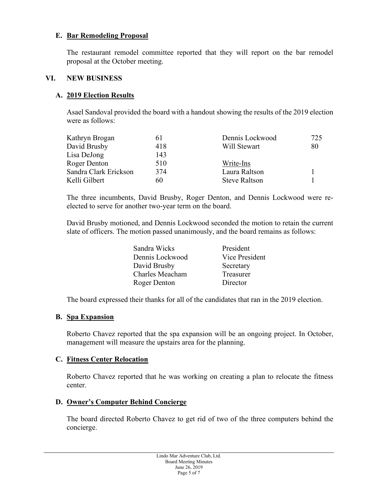### **E. Bar Remodeling Proposal**

The restaurant remodel committee reported that they will report on the bar remodel proposal at the October meeting.

#### **VI. NEW BUSINESS**

### **A. 2019 Election Results**

Asael Sandoval provided the board with a handout showing the results of the 2019 election were as follows:

| Kathryn Brogan        | 61  | Dennis Lockwood      | 725 |
|-----------------------|-----|----------------------|-----|
| David Brusby          | 418 | Will Stewart         | 80  |
| Lisa DeJong           | 143 |                      |     |
| Roger Denton          | 510 | Write-Ins            |     |
| Sandra Clark Erickson | 374 | Laura Raltson        |     |
| Kelli Gilbert         | 60  | <b>Steve Raltson</b> |     |

The three incumbents, David Brusby, Roger Denton, and Dennis Lockwood were reelected to serve for another two-year term on the board.

David Brusby motioned, and Dennis Lockwood seconded the motion to retain the current slate of officers. The motion passed unanimously, and the board remains as follows:

| Sandra Wicks    | President      |
|-----------------|----------------|
| Dennis Lockwood | Vice President |
| David Brusby    | Secretary      |
| Charles Meacham | Treasurer      |
| Roger Denton    | Director       |

The board expressed their thanks for all of the candidates that ran in the 2019 election.

#### **B. Spa Expansion**

Roberto Chavez reported that the spa expansion will be an ongoing project. In October, management will measure the upstairs area for the planning.

#### **C. Fitness Center Relocation**

Roberto Chavez reported that he was working on creating a plan to relocate the fitness center.

### **D. Owner's Computer Behind Concierge**

The board directed Roberto Chavez to get rid of two of the three computers behind the concierge.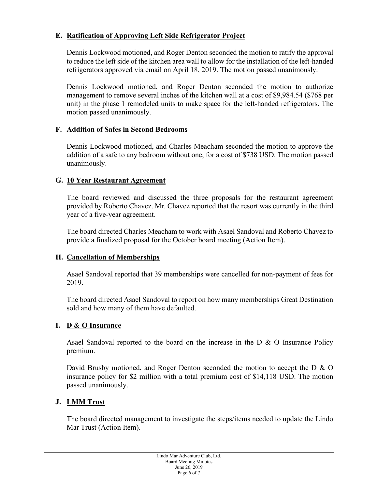## **E. Ratification of Approving Left Side Refrigerator Project**

Dennis Lockwood motioned, and Roger Denton seconded the motion to ratify the approval to reduce the left side of the kitchen area wall to allow for the installation of the left-handed refrigerators approved via email on April 18, 2019. The motion passed unanimously.

Dennis Lockwood motioned, and Roger Denton seconded the motion to authorize management to remove several inches of the kitchen wall at a cost of \$9,984.54 (\$768 per unit) in the phase 1 remodeled units to make space for the left-handed refrigerators. The motion passed unanimously.

### **F. Addition of Safes in Second Bedrooms**

Dennis Lockwood motioned, and Charles Meacham seconded the motion to approve the addition of a safe to any bedroom without one, for a cost of \$738 USD. The motion passed unanimously.

### **G. 10 Year Restaurant Agreement**

The board reviewed and discussed the three proposals for the restaurant agreement provided by Roberto Chavez. Mr. Chavez reported that the resort was currently in the third year of a five-year agreement.

The board directed Charles Meacham to work with Asael Sandoval and Roberto Chavez to provide a finalized proposal for the October board meeting (Action Item).

## **H. Cancellation of Memberships**

Asael Sandoval reported that 39 memberships were cancelled for non-payment of fees for 2019.

The board directed Asael Sandoval to report on how many memberships Great Destination sold and how many of them have defaulted.

### **I. D & O Insurance**

Asael Sandoval reported to the board on the increase in the D & O Insurance Policy premium.

David Brusby motioned, and Roger Denton seconded the motion to accept the D & O insurance policy for \$2 million with a total premium cost of \$14,118 USD. The motion passed unanimously.

### **J. LMM Trust**

The board directed management to investigate the steps/items needed to update the Lindo Mar Trust (Action Item).